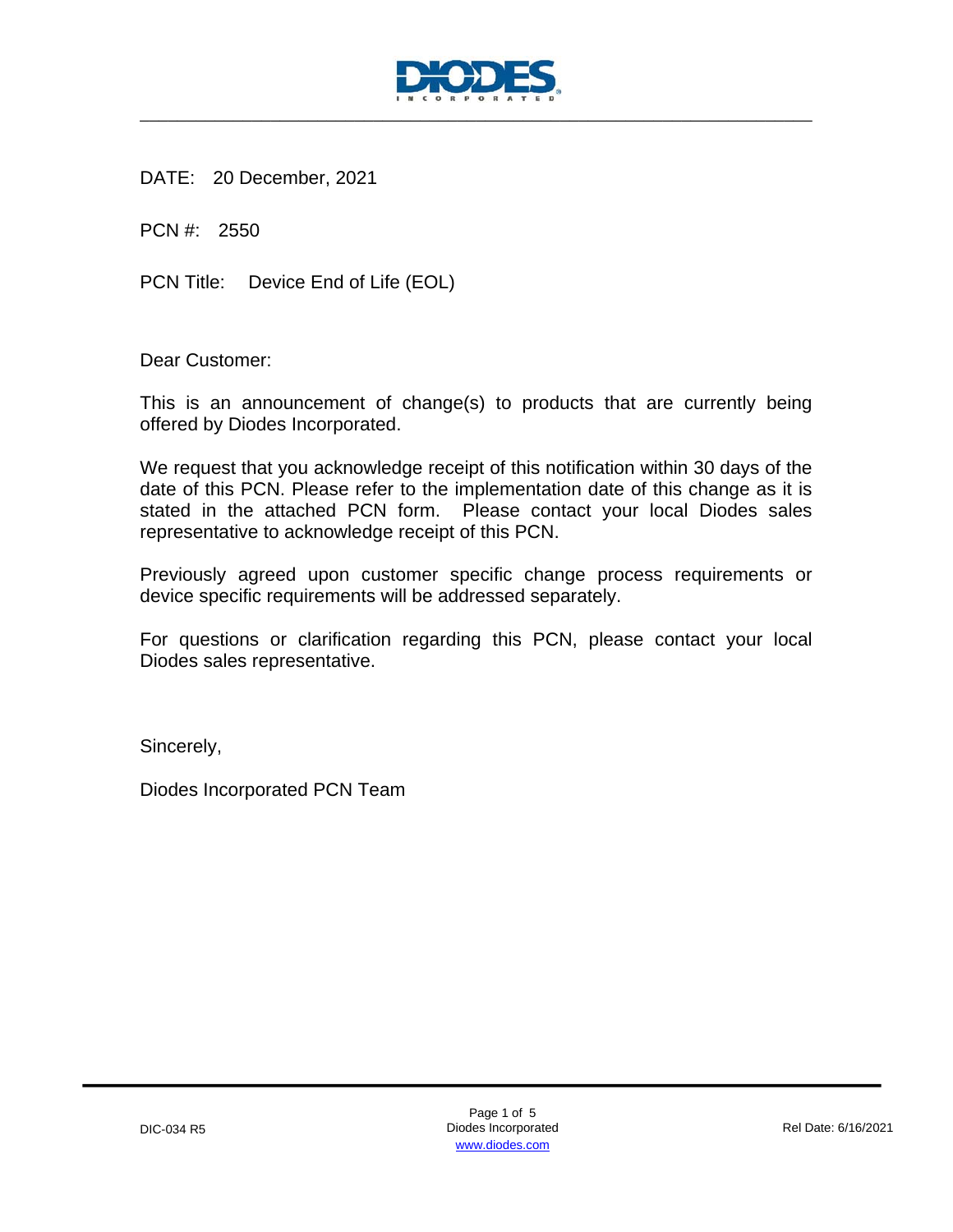

DATE: 20 December, 2021

PCN #: 2550

PCN Title: Device End of Life (EOL)

Dear Customer:

This is an announcement of change(s) to products that are currently being offered by Diodes Incorporated.

We request that you acknowledge receipt of this notification within 30 days of the date of this PCN. Please refer to the implementation date of this change as it is stated in the attached PCN form. Please contact your local Diodes sales representative to acknowledge receipt of this PCN.

Previously agreed upon customer specific change process requirements or device specific requirements will be addressed separately.

For questions or clarification regarding this PCN, please contact your local Diodes sales representative.

Sincerely,

Diodes Incorporated PCN Team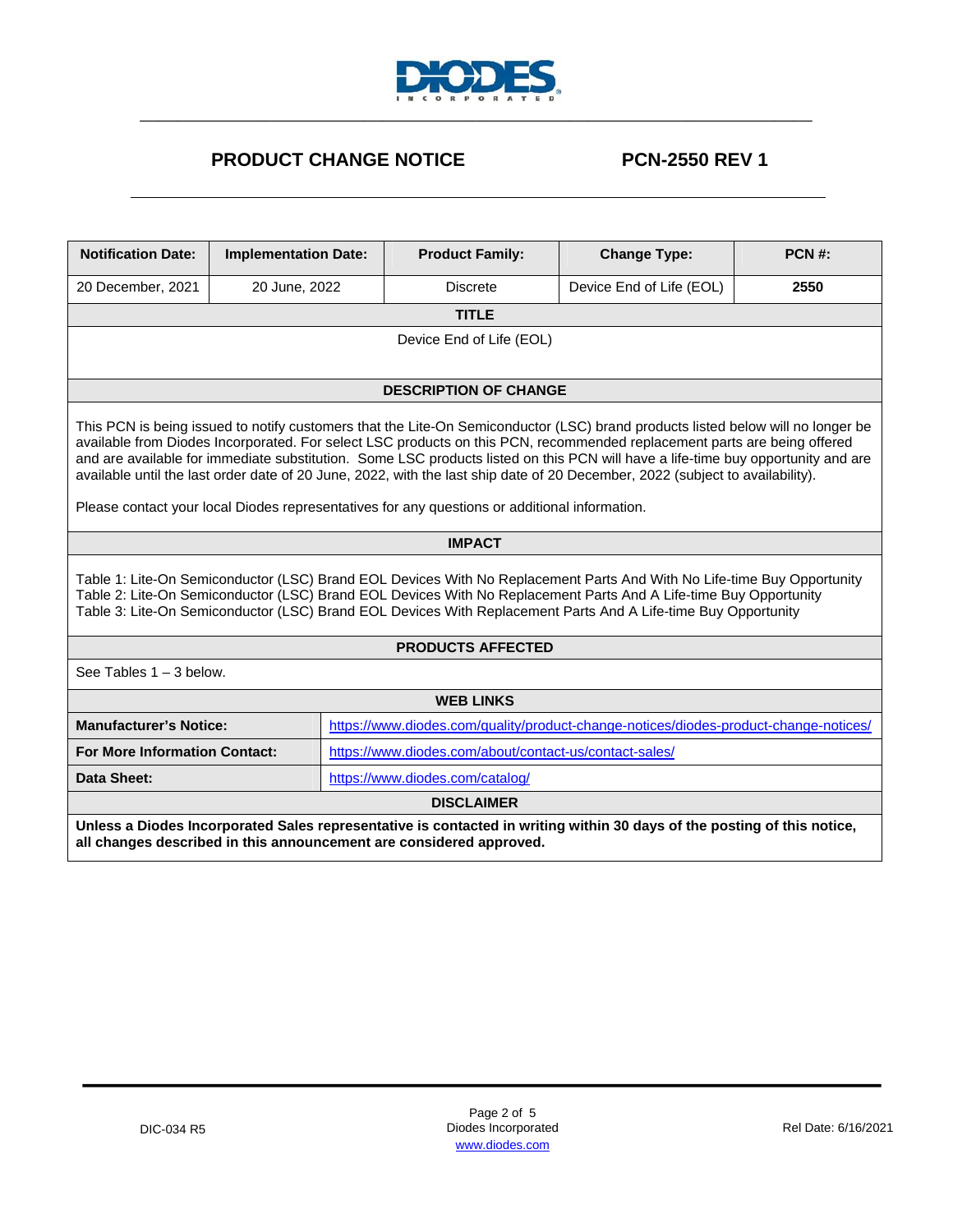

## **PRODUCT CHANGE NOTICE PCN-2550 REV 1**

| <b>Notification Date:</b>                                                                                                                                                                                                                                                                                                                                                                                                                                                                                                                                                                                                         | <b>Implementation Date:</b>                                                                                           |                                             | <b>Product Family:</b>       | <b>Change Type:</b> |      |  |  |  |
|-----------------------------------------------------------------------------------------------------------------------------------------------------------------------------------------------------------------------------------------------------------------------------------------------------------------------------------------------------------------------------------------------------------------------------------------------------------------------------------------------------------------------------------------------------------------------------------------------------------------------------------|-----------------------------------------------------------------------------------------------------------------------|---------------------------------------------|------------------------------|---------------------|------|--|--|--|
| 20 December, 2021                                                                                                                                                                                                                                                                                                                                                                                                                                                                                                                                                                                                                 | 20 June, 2022                                                                                                         | <b>Discrete</b><br>Device End of Life (EOL) |                              |                     | 2550 |  |  |  |
|                                                                                                                                                                                                                                                                                                                                                                                                                                                                                                                                                                                                                                   |                                                                                                                       |                                             | <b>TITLE</b>                 |                     |      |  |  |  |
| Device End of Life (EOL)                                                                                                                                                                                                                                                                                                                                                                                                                                                                                                                                                                                                          |                                                                                                                       |                                             |                              |                     |      |  |  |  |
|                                                                                                                                                                                                                                                                                                                                                                                                                                                                                                                                                                                                                                   |                                                                                                                       |                                             |                              |                     |      |  |  |  |
|                                                                                                                                                                                                                                                                                                                                                                                                                                                                                                                                                                                                                                   |                                                                                                                       |                                             | <b>DESCRIPTION OF CHANGE</b> |                     |      |  |  |  |
| This PCN is being issued to notify customers that the Lite-On Semiconductor (LSC) brand products listed below will no longer be<br>available from Diodes Incorporated. For select LSC products on this PCN, recommended replacement parts are being offered<br>and are available for immediate substitution. Some LSC products listed on this PCN will have a life-time buy opportunity and are<br>available until the last order date of 20 June, 2022, with the last ship date of 20 December, 2022 (subject to availability).<br>Please contact your local Diodes representatives for any questions or additional information. |                                                                                                                       |                                             |                              |                     |      |  |  |  |
|                                                                                                                                                                                                                                                                                                                                                                                                                                                                                                                                                                                                                                   |                                                                                                                       |                                             | <b>IMPACT</b>                |                     |      |  |  |  |
| Table 1: Lite-On Semiconductor (LSC) Brand EOL Devices With No Replacement Parts And With No Life-time Buy Opportunity<br>Table 2: Lite-On Semiconductor (LSC) Brand EOL Devices With No Replacement Parts And A Life-time Buy Opportunity<br>Table 3: Lite-On Semiconductor (LSC) Brand EOL Devices With Replacement Parts And A Life-time Buy Opportunity                                                                                                                                                                                                                                                                       |                                                                                                                       |                                             |                              |                     |      |  |  |  |
| <b>PRODUCTS AFFECTED</b>                                                                                                                                                                                                                                                                                                                                                                                                                                                                                                                                                                                                          |                                                                                                                       |                                             |                              |                     |      |  |  |  |
| See Tables $1 - 3$ below.                                                                                                                                                                                                                                                                                                                                                                                                                                                                                                                                                                                                         |                                                                                                                       |                                             |                              |                     |      |  |  |  |
| <b>WEB LINKS</b>                                                                                                                                                                                                                                                                                                                                                                                                                                                                                                                                                                                                                  |                                                                                                                       |                                             |                              |                     |      |  |  |  |
|                                                                                                                                                                                                                                                                                                                                                                                                                                                                                                                                                                                                                                   | <b>Manufacturer's Notice:</b><br>https://www.diodes.com/quality/product-change-notices/diodes-product-change-notices/ |                                             |                              |                     |      |  |  |  |
|                                                                                                                                                                                                                                                                                                                                                                                                                                                                                                                                                                                                                                   | https://www.diodes.com/about/contact-us/contact-sales/<br><b>For More Information Contact:</b>                        |                                             |                              |                     |      |  |  |  |
| <b>Data Sheet:</b><br>https://www.diodes.com/catalog/                                                                                                                                                                                                                                                                                                                                                                                                                                                                                                                                                                             |                                                                                                                       |                                             |                              |                     |      |  |  |  |
| <b>DISCLAIMER</b>                                                                                                                                                                                                                                                                                                                                                                                                                                                                                                                                                                                                                 |                                                                                                                       |                                             |                              |                     |      |  |  |  |
| Unless a Diodes Incorporated Sales representative is contacted in writing within 30 days of the posting of this notice,<br>all changes described in this announcement are considered approved.                                                                                                                                                                                                                                                                                                                                                                                                                                    |                                                                                                                       |                                             |                              |                     |      |  |  |  |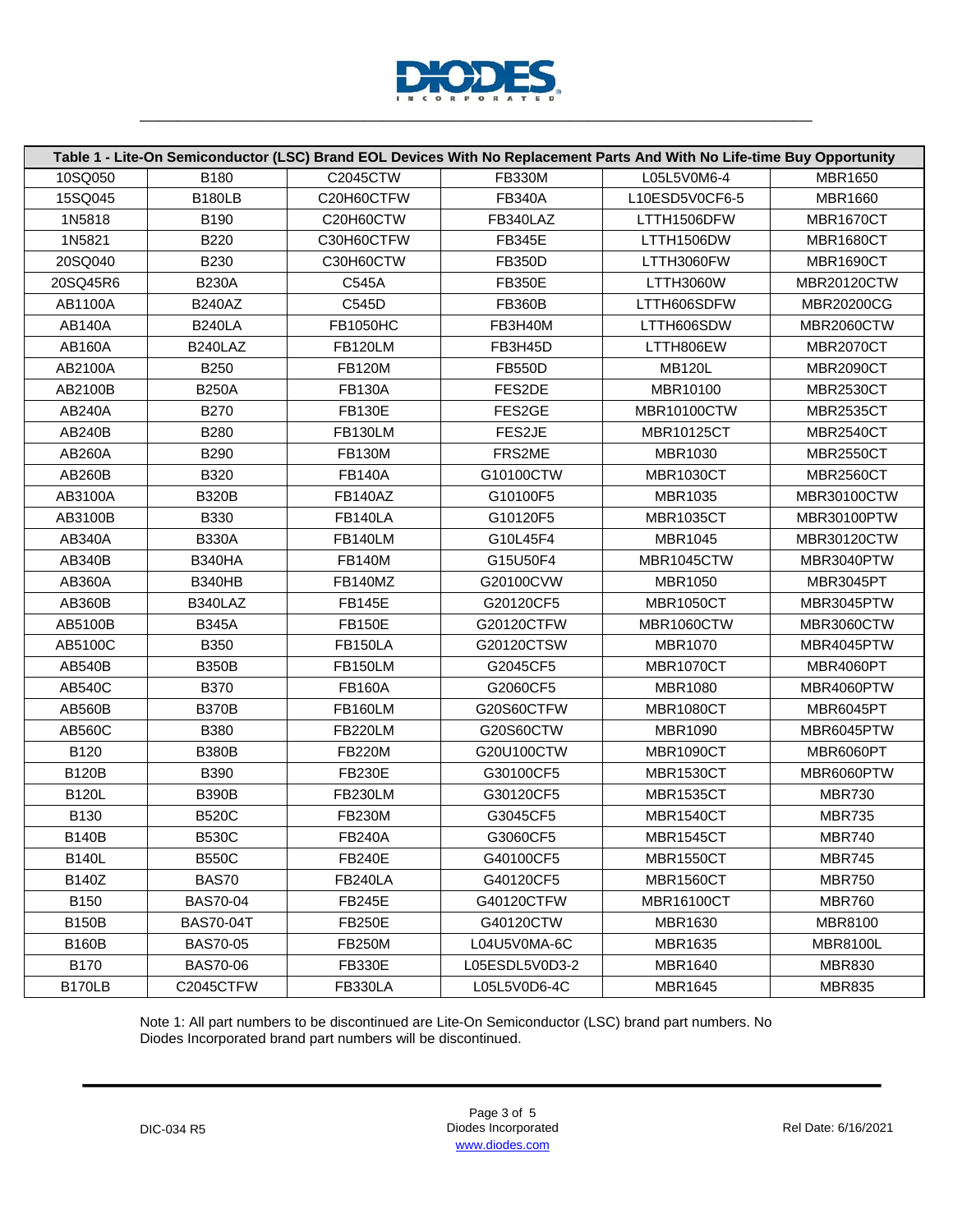

| Table 1 - Lite-On Semiconductor (LSC) Brand EOL Devices With No Replacement Parts And With No Life-time Buy Opportunity |                  |                 |                |                    |                    |  |
|-------------------------------------------------------------------------------------------------------------------------|------------------|-----------------|----------------|--------------------|--------------------|--|
| 10SQ050                                                                                                                 | B180             | C2045CTW        | <b>FB330M</b>  | L05L5V0M6-4        | <b>MBR1650</b>     |  |
| 15SQ045                                                                                                                 | <b>B180LB</b>    | C20H60CTFW      | <b>FB340A</b>  | L10ESD5V0CF6-5     | <b>MBR1660</b>     |  |
| 1N5818                                                                                                                  | B190             | C20H60CTW       | FB340LAZ       | LTTH1506DFW        | <b>MBR1670CT</b>   |  |
| 1N5821                                                                                                                  | <b>B220</b>      | C30H60CTFW      | <b>FB345E</b>  | LTTH1506DW         | <b>MBR1680CT</b>   |  |
| 20SQ040                                                                                                                 | B230             | C30H60CTW       | <b>FB350D</b>  | LTTH3060FW         | <b>MBR1690CT</b>   |  |
| 20SQ45R6                                                                                                                | <b>B230A</b>     | C545A           | <b>FB350E</b>  | LTTH3060W          | <b>MBR20120CTW</b> |  |
| AB1100A                                                                                                                 | <b>B240AZ</b>    | C545D           | <b>FB360B</b>  | LTTH606SDFW        | <b>MBR20200CG</b>  |  |
| <b>AB140A</b>                                                                                                           | <b>B240LA</b>    | <b>FB1050HC</b> | FB3H40M        | LTTH606SDW         | MBR2060CTW         |  |
| <b>AB160A</b>                                                                                                           | B240LAZ          | <b>FB120LM</b>  | FB3H45D        | LTTH806EW          | <b>MBR2070CT</b>   |  |
| AB2100A                                                                                                                 | B250             | <b>FB120M</b>   | <b>FB550D</b>  | <b>MB120L</b>      | <b>MBR2090CT</b>   |  |
| AB2100B                                                                                                                 | <b>B250A</b>     | <b>FB130A</b>   | FES2DE         | MBR10100           | <b>MBR2530CT</b>   |  |
| AB240A                                                                                                                  | <b>B270</b>      | <b>FB130E</b>   | FES2GE         | <b>MBR10100CTW</b> | <b>MBR2535CT</b>   |  |
| AB240B                                                                                                                  | B280             | FB130LM         | FES2JE         | MBR10125CT         | <b>MBR2540CT</b>   |  |
| AB260A                                                                                                                  | B290             | <b>FB130M</b>   | FRS2ME         | MBR1030            | <b>MBR2550CT</b>   |  |
| AB260B                                                                                                                  | B320             | <b>FB140A</b>   | G10100CTW      | <b>MBR1030CT</b>   | <b>MBR2560CT</b>   |  |
| AB3100A                                                                                                                 | <b>B320B</b>     | <b>FB140AZ</b>  | G10100F5       | MBR1035            | <b>MBR30100CTW</b> |  |
| AB3100B                                                                                                                 | B330             | <b>FB140LA</b>  | G10120F5       | <b>MBR1035CT</b>   | MBR30100PTW        |  |
| AB340A                                                                                                                  | <b>B330A</b>     | FB140LM         | G10L45F4       | MBR1045            | MBR30120CTW        |  |
| AB340B                                                                                                                  | <b>B340HA</b>    | <b>FB140M</b>   | G15U50F4       | MBR1045CTW         | MBR3040PTW         |  |
| AB360A                                                                                                                  | <b>B340HB</b>    | FB140MZ         | G20100CVW      | <b>MBR1050</b>     | <b>MBR3045PT</b>   |  |
| <b>AB360B</b>                                                                                                           | B340LAZ          | <b>FB145E</b>   | G20120CF5      | <b>MBR1050CT</b>   | MBR3045PTW         |  |
| AB5100B                                                                                                                 | <b>B345A</b>     | <b>FB150E</b>   | G20120CTFW     | <b>MBR1060CTW</b>  | MBR3060CTW         |  |
| AB5100C                                                                                                                 | <b>B350</b>      | <b>FB150LA</b>  | G20120CTSW     | <b>MBR1070</b>     | MBR4045PTW         |  |
| <b>AB540B</b>                                                                                                           | <b>B350B</b>     | <b>FB150LM</b>  | G2045CF5       | <b>MBR1070CT</b>   | <b>MBR4060PT</b>   |  |
| <b>AB540C</b>                                                                                                           | <b>B370</b>      | <b>FB160A</b>   | G2060CF5       | <b>MBR1080</b>     | MBR4060PTW         |  |
| AB560B                                                                                                                  | <b>B370B</b>     | <b>FB160LM</b>  | G20S60CTFW     | <b>MBR1080CT</b>   | MBR6045PT          |  |
| AB560C                                                                                                                  | <b>B380</b>      | <b>FB220LM</b>  | G20S60CTW      | <b>MBR1090</b>     | MBR6045PTW         |  |
| B120                                                                                                                    | <b>B380B</b>     | <b>FB220M</b>   | G20U100CTW     | <b>MBR1090CT</b>   | MBR6060PT          |  |
| <b>B120B</b>                                                                                                            | <b>B390</b>      | <b>FB230E</b>   | G30100CF5      | <b>MBR1530CT</b>   | MBR6060PTW         |  |
| <b>B120L</b>                                                                                                            | <b>B390B</b>     | <b>FB230LM</b>  | G30120CF5      | <b>MBR1535CT</b>   | <b>MBR730</b>      |  |
| <b>B130</b>                                                                                                             | <b>B520C</b>     | <b>FB230M</b>   | G3045CF5       | <b>MBR1540CT</b>   | <b>MBR735</b>      |  |
| <b>B140B</b>                                                                                                            | <b>B530C</b>     | <b>FB240A</b>   | G3060CF5       | <b>MBR1545CT</b>   | <b>MBR740</b>      |  |
| <b>B140L</b>                                                                                                            | <b>B550C</b>     | <b>FB240E</b>   | G40100CF5      | <b>MBR1550CT</b>   | <b>MBR745</b>      |  |
| B140Z                                                                                                                   | <b>BAS70</b>     | <b>FB240LA</b>  | G40120CF5      | <b>MBR1560CT</b>   | <b>MBR750</b>      |  |
| <b>B150</b>                                                                                                             | <b>BAS70-04</b>  | <b>FB245E</b>   | G40120CTFW     | <b>MBR16100CT</b>  | <b>MBR760</b>      |  |
| <b>B150B</b>                                                                                                            | <b>BAS70-04T</b> | <b>FB250E</b>   | G40120CTW      | MBR1630            | <b>MBR8100</b>     |  |
| <b>B160B</b>                                                                                                            | <b>BAS70-05</b>  | <b>FB250M</b>   | L04U5V0MA-6C   | <b>MBR1635</b>     | <b>MBR8100L</b>    |  |
| <b>B170</b>                                                                                                             | <b>BAS70-06</b>  | <b>FB330E</b>   | L05ESDL5V0D3-2 | <b>MBR1640</b>     | <b>MBR830</b>      |  |
| B170LB                                                                                                                  | C2045CTFW        | <b>FB330LA</b>  | L05L5V0D6-4C   | <b>MBR1645</b>     | <b>MBR835</b>      |  |

Note 1: All part numbers to be discontinued are Lite-On Semiconductor (LSC) brand part numbers. No Diodes Incorporated brand part numbers will be discontinued.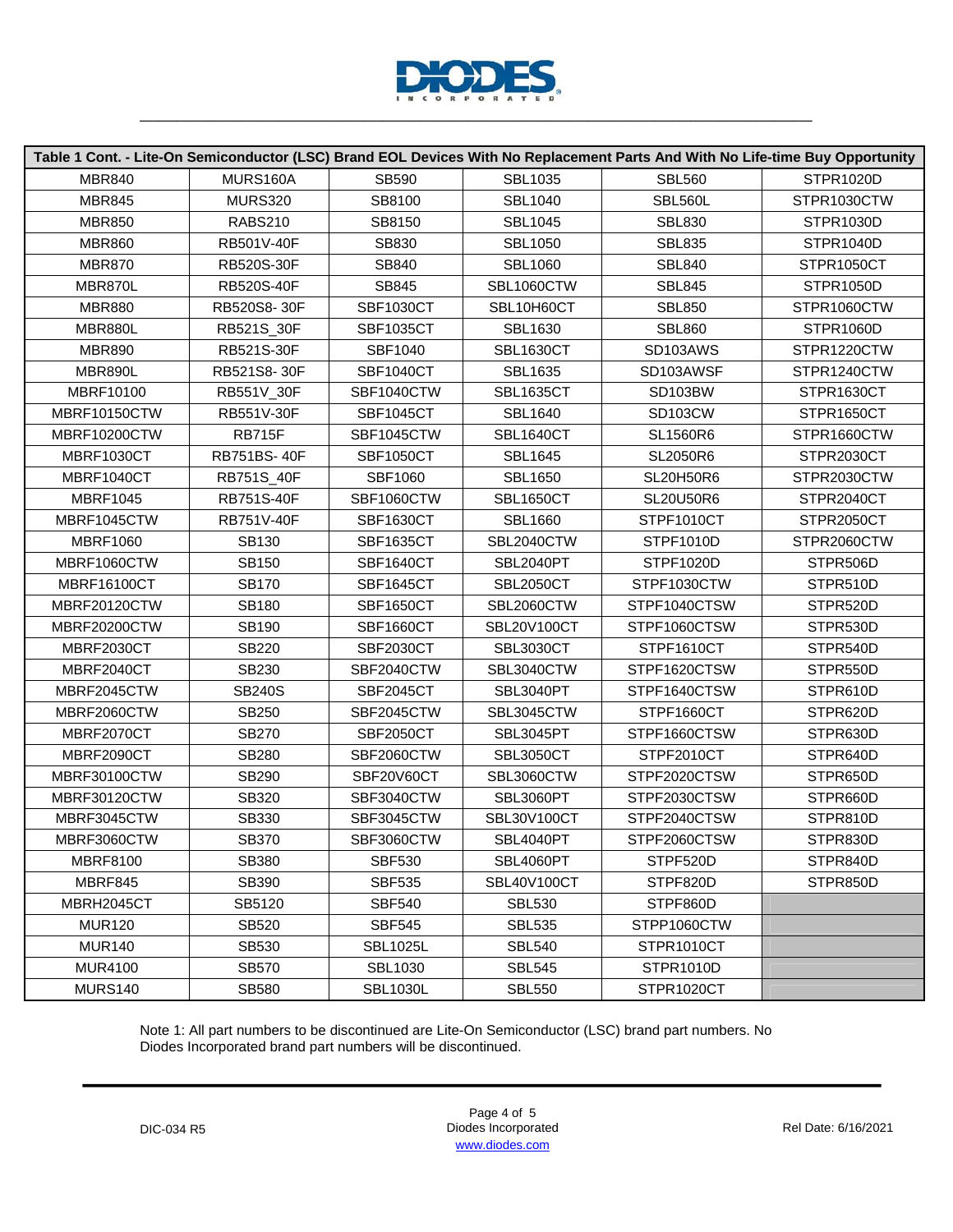

| Table 1 Cont. - Lite-On Semiconductor (LSC) Brand EOL Devices With No Replacement Parts And With No Life-time Buy Opportunity |                   |                  |                  |                      |             |  |  |
|-------------------------------------------------------------------------------------------------------------------------------|-------------------|------------------|------------------|----------------------|-------------|--|--|
| <b>MBR840</b>                                                                                                                 | MURS160A          | SB590            | <b>SBL1035</b>   | <b>SBL560</b>        | STPR1020D   |  |  |
| <b>MBR845</b>                                                                                                                 | <b>MURS320</b>    | SB8100           | <b>SBL1040</b>   | SBL560L              | STPR1030CTW |  |  |
| <b>MBR850</b>                                                                                                                 | <b>RABS210</b>    | SB8150           | <b>SBL1045</b>   | <b>SBL830</b>        | STPR1030D   |  |  |
| <b>MBR860</b>                                                                                                                 | RB501V-40F        | SB830            | <b>SBL1050</b>   | <b>SBL835</b>        | STPR1040D   |  |  |
| <b>MBR870</b>                                                                                                                 | <b>RB520S-30F</b> | SB840            | <b>SBL1060</b>   | <b>SBL840</b>        | STPR1050CT  |  |  |
| MBR870L                                                                                                                       | <b>RB520S-40F</b> | SB845            | SBL1060CTW       | <b>SBL845</b>        | STPR1050D   |  |  |
| <b>MBR880</b>                                                                                                                 | RB520S8-30F       | <b>SBF1030CT</b> | SBL10H60CT       | <b>SBL850</b>        | STPR1060CTW |  |  |
| MBR880L                                                                                                                       | RB521S_30F        | <b>SBF1035CT</b> | <b>SBL1630</b>   | <b>SBL860</b>        | STPR1060D   |  |  |
| <b>MBR890</b>                                                                                                                 | RB521S-30F        | SBF1040          | <b>SBL1630CT</b> | SD103AWS             | STPR1220CTW |  |  |
| MBR890L                                                                                                                       | RB521S8-30F       | <b>SBF1040CT</b> | <b>SBL1635</b>   | SD103AWSF            | STPR1240CTW |  |  |
| MBRF10100                                                                                                                     | RB551V_30F        | SBF1040CTW       | <b>SBL1635CT</b> | SD103BW              | STPR1630CT  |  |  |
| MBRF10150CTW                                                                                                                  | RB551V-30F        | <b>SBF1045CT</b> | <b>SBL1640</b>   | SD <sub>103</sub> CW | STPR1650CT  |  |  |
| MBRF10200CTW                                                                                                                  | <b>RB715F</b>     | SBF1045CTW       | <b>SBL1640CT</b> | <b>SL1560R6</b>      | STPR1660CTW |  |  |
| MBRF1030CT                                                                                                                    | RB751BS-40F       | <b>SBF1050CT</b> | <b>SBL1645</b>   | SL2050R6             | STPR2030CT  |  |  |
| MBRF1040CT                                                                                                                    | RB751S_40F        | SBF1060          | <b>SBL1650</b>   | <b>SL20H50R6</b>     | STPR2030CTW |  |  |
| <b>MBRF1045</b>                                                                                                               | <b>RB751S-40F</b> | SBF1060CTW       | <b>SBL1650CT</b> | <b>SL20U50R6</b>     | STPR2040CT  |  |  |
| MBRF1045CTW                                                                                                                   | RB751V-40F        | <b>SBF1630CT</b> | <b>SBL1660</b>   | STPF1010CT           | STPR2050CT  |  |  |
| <b>MBRF1060</b>                                                                                                               | SB130             | <b>SBF1635CT</b> | SBL2040CTW       | STPF1010D            | STPR2060CTW |  |  |
| MBRF1060CTW                                                                                                                   | SB150             | <b>SBF1640CT</b> | SBL2040PT        | STPF1020D            | STPR506D    |  |  |
| <b>MBRF16100CT</b>                                                                                                            | <b>SB170</b>      | <b>SBF1645CT</b> | <b>SBL2050CT</b> | STPF1030CTW          | STPR510D    |  |  |
| MBRF20120CTW                                                                                                                  | <b>SB180</b>      | <b>SBF1650CT</b> | SBL2060CTW       | STPF1040CTSW         | STPR520D    |  |  |
| MBRF20200CTW                                                                                                                  | SB190             | <b>SBF1660CT</b> | SBL20V100CT      | STPF1060CTSW         | STPR530D    |  |  |
| MBRF2030CT                                                                                                                    | <b>SB220</b>      | <b>SBF2030CT</b> | <b>SBL3030CT</b> | STPF1610CT           | STPR540D    |  |  |
| MBRF2040CT                                                                                                                    | SB230             | SBF2040CTW       | SBL3040CTW       | STPF1620CTSW         | STPR550D    |  |  |
| MBRF2045CTW                                                                                                                   | <b>SB240S</b>     | <b>SBF2045CT</b> | <b>SBL3040PT</b> | STPF1640CTSW         | STPR610D    |  |  |
| MBRF2060CTW                                                                                                                   | SB250             | SBF2045CTW       | SBL3045CTW       | STPF1660CT           | STPR620D    |  |  |
| MBRF2070CT                                                                                                                    | <b>SB270</b>      | <b>SBF2050CT</b> | SBL3045PT        | STPF1660CTSW         | STPR630D    |  |  |
| MBRF2090CT                                                                                                                    | SB280             | SBF2060CTW       | <b>SBL3050CT</b> | STPF2010CT           | STPR640D    |  |  |
| MBRF30100CTW                                                                                                                  | SB290             | SBF20V60CT       | SBL3060CTW       | STPF2020CTSW         | STPR650D    |  |  |
| MBRF30120CTW                                                                                                                  | SB320             | SBF3040CTW       | SBL3060PT        | STPF2030CTSW         | STPR660D    |  |  |
| MBRF3045CTW                                                                                                                   | SB330             | SBF3045CTW       | SBL30V100CT      | STPF2040CTSW         | STPR810D    |  |  |
| MBRF3060CTW                                                                                                                   | SB370             | SBF3060CTW       | SBL4040PT        | STPF2060CTSW         | STPR830D    |  |  |
| <b>MBRF8100</b>                                                                                                               | SB380             | <b>SBF530</b>    | SBL4060PT        | STPF520D             | STPR840D    |  |  |
| MBRF845                                                                                                                       | SB390             | <b>SBF535</b>    | SBL40V100CT      | STPF820D             | STPR850D    |  |  |
| MBRH2045CT                                                                                                                    | SB5120            | <b>SBF540</b>    | <b>SBL530</b>    | STPF860D             |             |  |  |
| <b>MUR120</b>                                                                                                                 | SB520             | <b>SBF545</b>    | <b>SBL535</b>    | STPP1060CTW          |             |  |  |
| <b>MUR140</b>                                                                                                                 | SB530             | <b>SBL1025L</b>  | <b>SBL540</b>    | STPR1010CT           |             |  |  |
| <b>MUR4100</b>                                                                                                                | SB570             | <b>SBL1030</b>   | <b>SBL545</b>    | STPR1010D            |             |  |  |
| MURS140                                                                                                                       | SB580             | <b>SBL1030L</b>  | <b>SBL550</b>    | STPR1020CT           |             |  |  |

Note 1: All part numbers to be discontinued are Lite-On Semiconductor (LSC) brand part numbers. No Diodes Incorporated brand part numbers will be discontinued.